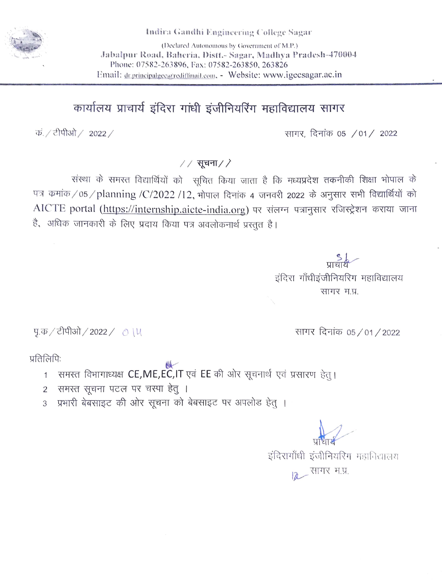

Indira Gandhi Engineering College Sagar

(Declared Autonomous by Government of M.P.) Jabalpur Road, Baheria, Distt.- Sagar, Madhya Pradesh-470004 Phone: 07582-263896, Fax: 07582-263850, 263826 Email: dr.principalgec@rediffinail.com, - Website: www.igecsagar.ac.in

## कार्यालय प्राचार्य इंदिरा गांधी इंजीनियरिंग महाविद्यालय सागर

क. / टीपीओ / 2022 /

सागर, दिनांक 05 /01/ 2022

 $//$ सूचना $//$ 

संस्था के समस्त विद्यार्थियों को सूचित किया जाता है कि मध्यप्रदेश तकनीकी शिक्षा भोपाल के पत्र कमांक/05/planning/C/2022/12, भोपाल दिनांक 4 जनवरी 2022 के अनुसार सभी विद्यार्थियों को AICTE portal (https://internship.aicte-india.org) पर संलग्न पत्रानुसार रजिस्ट्रेशन कराया जाना है, अधिक जानकारी के लिए प्रदाय किया पत्र अवलोकनार्थ प्रस्तत है।

> प्राचार्य इंदिरा गाँधीइंजीनियरिग महाविद्यालय सागर म.प्र.

पु.क / टीपीओ / 2022 / 0 । ५

सागर दिनांक 05/01/2022

प्रतिलिपि:

- समस्त विभागाध्यक्ष CE,ME,EC,IT एवं EE की ओर सूचनार्थ एवं प्रसारण हेत् ।  $1$
- समस्त सूचना पटल पर चस्पा हेतु ।  $\overline{2}$
- प्रभारी बेबसाइट की ओर सूचना को बेबसाइट पर अपलोड हेतु ।  $\overline{3}$

इंदिरागाँधी इंजीनियरिंग महाविद्यालय 2 सागर म.प्र.